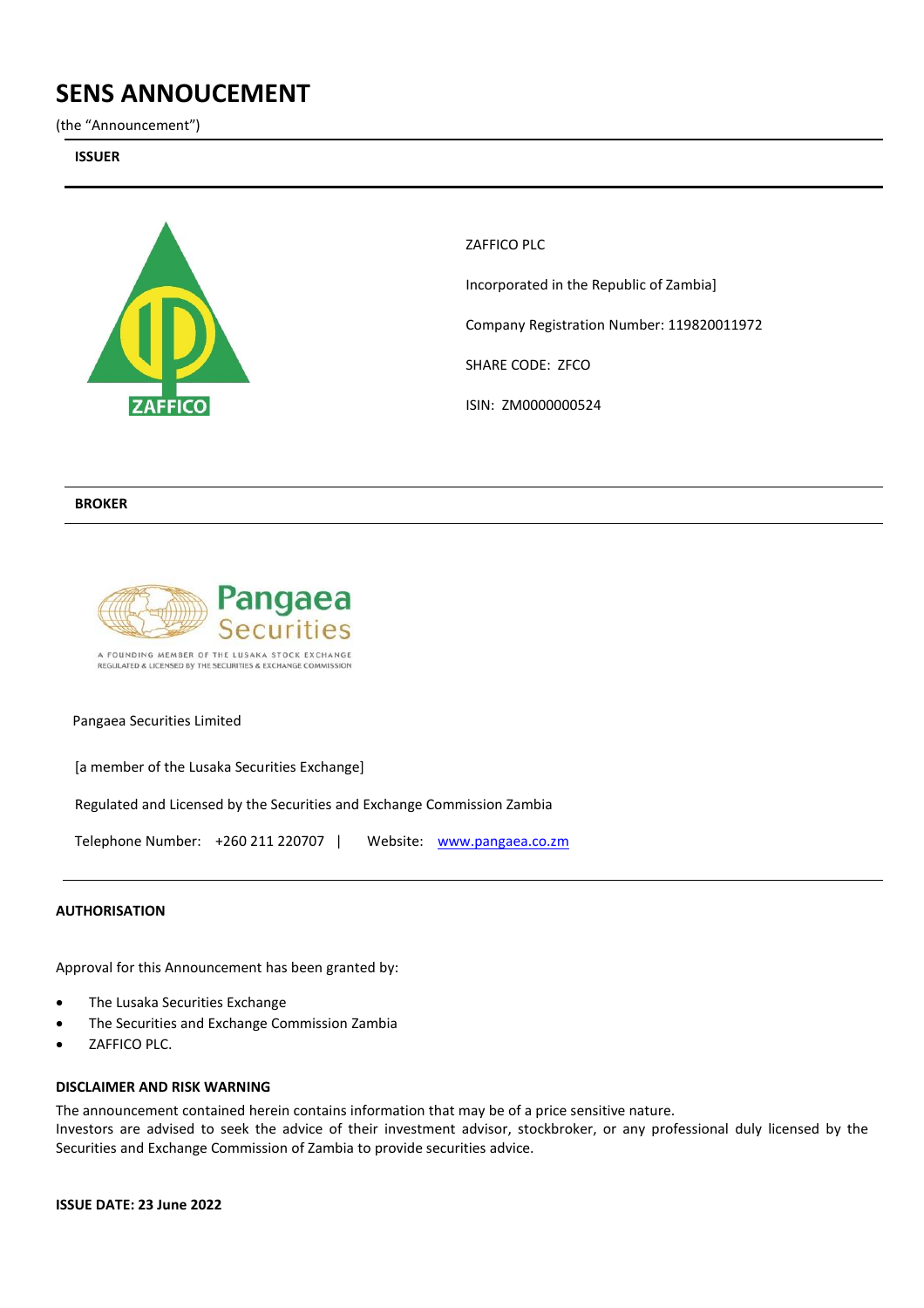# **SENS ANNOUCEMENT**

(the "Announcement")

**ISSUER** 



ZAFFICO PLC Incorporated in the Republic of Zambia] Company Registration Number: 119820011972 SHARE CODE: ZFCO ISIN: ZM0000000524

## **BROKER**



### Pangaea Securities Limited

[a member of the Lusaka Securities Exchange]

Regulated and Licensed by the Securities and Exchange Commission Zambia

Telephone Number: +260 211 220707 | Website: [www.pangaea.co.zm](http://www.pangaea.co.zm/)

### **AUTHORISATION**

Approval for this Announcement has been granted by:

- The Lusaka Securities Exchange
- The Securities and Exchange Commission Zambia
- ZAFFICO PLC.

#### **DISCLAIMER AND RISK WARNING**

The announcement contained herein contains information that may be of a price sensitive nature.

Investors are advised to seek the advice of their investment advisor, stockbroker, or any professional duly licensed by the Securities and Exchange Commission of Zambia to provide securities advice.